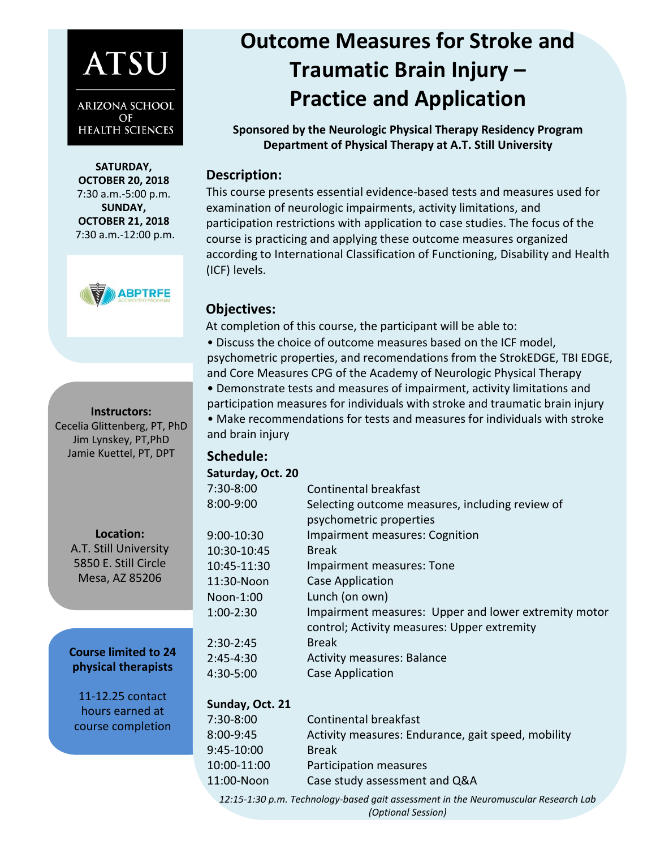# **ATSU**

**ARIZONA SCHOOL** OF **HEALTH SCIENCES** 

**SATURDAY, OCTOBER 20, 2018** 7:30 a.m.-5:00 p.m. **SUNDAY, OCTOBER 21, 2018** 7:30 a.m.-12:00 p.m.



#### **Instructors:**

Cecelia Glittenberg, PT, PhD Jim Lynskey, PT,PhD Jamie Kuettel, PT, DPT

> **Location:**  A.T. Still University 5850 E. Still Circle Mesa, AZ 85206

**Course limited to 24 physical therapists** 

11-12.25 contact hours earned at course completion

# **Outcome Measures for Stroke and Traumatic Brain Injury – Practice and Application**

**Sponsored by the Neurologic Physical Therapy Residency Program Department of Physical Therapy at A.T. Still University** 

#### **Description:**

This course presents essential evidence-based tests and measures used for examination of neurologic impairments, activity limitations, and participation restrictions with application to case studies. The focus of the course is practicing and applying these outcome measures organized according to International Classification of Functioning, Disability and Health (ICF) levels.

### **Objectives:**

At completion of this course, the participant will be able to:

• Discuss the choice of outcome measures based on the ICF model, psychometric properties, and recomendations from the StrokEDGE, TBI EDGE, and Core Measures CPG of the Academy of Neurologic Physical Therapy • Demonstrate tests and measures of impairment, activity limitations and participation measures for individuals with stroke and traumatic brain injury

• Make recommendations for tests and measures for individuals with stroke and brain injury

## **Schedule:**

8:00-9:45

| Saturday, Oct. 20 |                                                                                                     |
|-------------------|-----------------------------------------------------------------------------------------------------|
| 7:30-8:00         | Continental breakfast                                                                               |
| 8:00-9:00         | Selecting outcome measures, including review of<br>psychometric properties                          |
| 9:00-10:30        | <b>Impairment measures: Cognition</b>                                                               |
| 10:30-10:45       | <b>Break</b>                                                                                        |
| 10:45-11:30       | Impairment measures: Tone                                                                           |
| 11:30-Noon        | <b>Case Application</b>                                                                             |
| Noon-1:00         | Lunch (on own)                                                                                      |
| 1:00-2:30         | Impairment measures: Upper and lower extremity motor<br>control; Activity measures: Upper extremity |
| 2:30-2:45         | <b>Break</b>                                                                                        |
| 2:45-4:30         | <b>Activity measures: Balance</b>                                                                   |
| 4:30-5:00         | Case Application                                                                                    |
| Sunday, Oct. 21   |                                                                                                     |
| 7.30_8.00         | Continental hreakfact                                                                               |

| 7:30-8:00   | Continental breakfast                              |
|-------------|----------------------------------------------------|
| 8:00-9:45   | Activity measures: Endurance, gait speed, mobility |
| 9:45-10:00  | <b>Break</b>                                       |
| 10:00-11:00 | Participation measures                             |
| 11:00-Noon  | Case study assessment and Q&A                      |

*12:15-1:30 p.m. Technology-based gait assessment in the Neuromuscular Research Lab (Optional Session)*